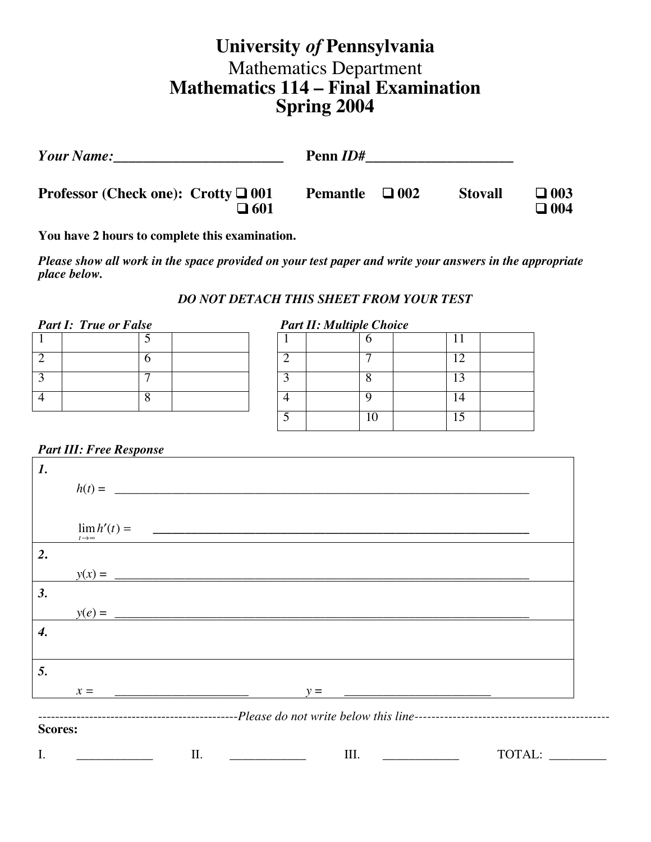# **University** *of* **Pennsylvania** Mathematics Department **Mathematics 114 – Final Examination Spring 2004**

| <b>Your Name:</b>                                                           | Penn <i>ID</i> # |            |                |                             |
|-----------------------------------------------------------------------------|------------------|------------|----------------|-----------------------------|
| <b>Professor (Check one): Crotty <math>\Box</math> 001</b><br>$\square$ 601 | <b>Pemantle</b>  | $\Box$ 002 | <b>Stovall</b> | $\square$ 003<br>$\Box$ 004 |

**You have 2 hours to complete this examination.**

*Please show all work in the space provided on your test paper and write your answers in the appropriate place below.*

### *DO NOT DETACH THIS SHEET FROM YOUR TEST*

| <b>Part I: True or False</b> |  | <b>Part II: Multiple Choice</b> |  |  |
|------------------------------|--|---------------------------------|--|--|
|                              |  |                                 |  |  |
|                              |  |                                 |  |  |
|                              |  |                                 |  |  |
|                              |  |                                 |  |  |

| <b>Part II: Multiple Choice</b> |    |  |  |  |
|---------------------------------|----|--|--|--|
|                                 |    |  |  |  |
|                                 |    |  |  |  |
|                                 |    |  |  |  |
|                                 |    |  |  |  |
|                                 | 10 |  |  |  |

### *Part III: Free Response*

| $\boldsymbol{l}$ . |                                        |          |                                                                                                                      |        |
|--------------------|----------------------------------------|----------|----------------------------------------------------------------------------------------------------------------------|--------|
|                    |                                        | $h(t) =$ |                                                                                                                      |        |
|                    |                                        |          |                                                                                                                      |        |
|                    | $\lim h'(t) =$<br>$t\rightarrow\infty$ |          | <u> 1980 - Johann Barn, amerikan basar basa dan basa dan basa dan basa dan basa dalam basa dalam basa dalam basa</u> |        |
| 2.                 |                                        |          |                                                                                                                      |        |
|                    |                                        |          |                                                                                                                      |        |
| 3.                 |                                        |          |                                                                                                                      |        |
|                    | $y(e) =$                               |          |                                                                                                                      |        |
| 4.                 |                                        |          |                                                                                                                      |        |
|                    |                                        |          |                                                                                                                      |        |
| 5.                 |                                        |          |                                                                                                                      |        |
|                    | $x =$                                  |          | $v =$                                                                                                                |        |
|                    |                                        |          |                                                                                                                      |        |
| <b>Scores:</b>     |                                        |          |                                                                                                                      |        |
| I.                 |                                        | II.      | III.                                                                                                                 | TOTAL: |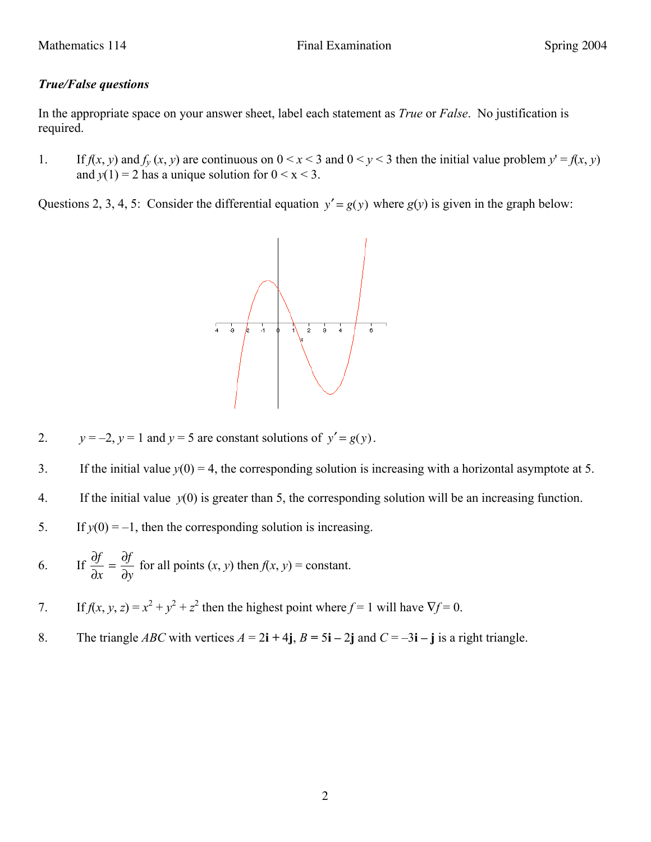## *True/False questions*

In the appropriate space on your answer sheet, label each statement as *True* or *False*. No justification is required.

1. If  $f(x, y)$  and  $f_y(x, y)$  are continuous on  $0 \le x \le 3$  and  $0 \le y \le 3$  then the initial value problem  $y' = f(x, y)$ and  $y(1) = 2$  has a unique solution for  $0 \le x \le 3$ .

Questions 2, 3, 4, 5: Consider the differential equation  $y' = g(y)$  where  $g(y)$  is given in the graph below:



- 2.  $y = -2$ ,  $y = 1$  and  $y = 5$  are constant solutions of  $y' = g(y)$ .
- 3. If the initial value  $y(0) = 4$ , the corresponding solution is increasing with a horizontal asymptote at 5.
- 4. If the initial value *y*(0) is greater than 5, the corresponding solution will be an increasing function.
- 5. If  $y(0) = -1$ , then the corresponding solution is increasing.
- 6. If  $\frac{\partial f}{\partial x} = \frac{\partial f}{\partial y}$ for all points  $(x, y)$  then  $f(x, y)$  = constant.
- 7. If  $f(x, y, z) = x^2 + y^2 + z^2$  then the highest point where  $f = 1$  will have  $\nabla f = 0$ .
- 8. The triangle *ABC* with vertices  $A = 2i + 4j$ ,  $B = 5i 2j$  and  $C = -3i j$  is a right triangle.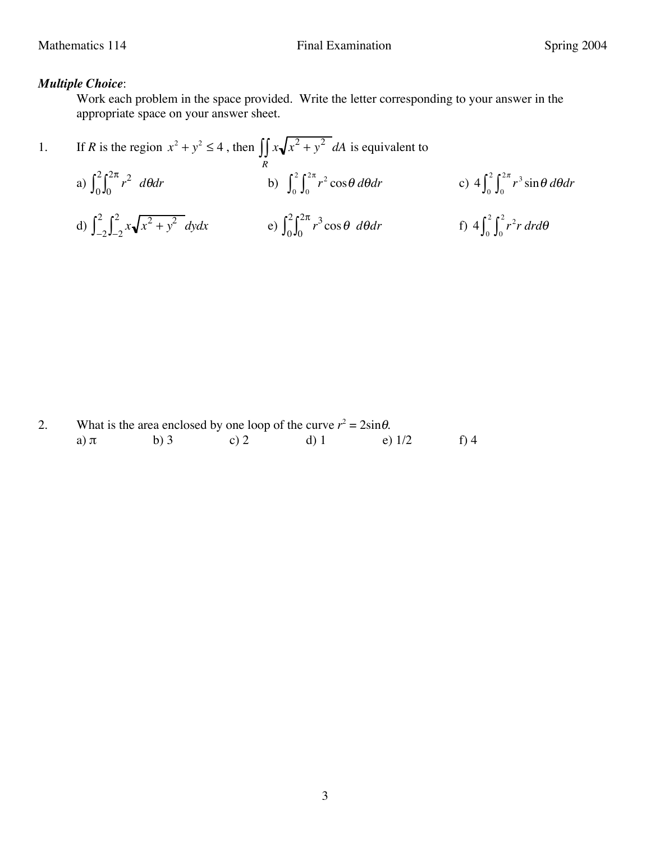## *Multiple Choice*:

Work each problem in the space provided. Write the letter corresponding to your answer in the appropriate space on your answer sheet.

1. If *R* is the region 
$$
x^2 + y^2 \le 4
$$
, then 
$$
\iint_R x \sqrt{x^2 + y^2} dA
$$
 is equivalent to  
\na) 
$$
\int_0^2 \int_0^{2\pi} r^2 d\theta dr
$$
\nb) 
$$
\int_0^2 \int_0^{2\pi} r^2 \cos \theta d\theta dr
$$
\nc) 
$$
4 \int_0^2 \int_0^{2\pi} r^3 \sin \theta d\theta dr
$$
\nd) 
$$
\int_{-2}^2 \int_{-2}^2 x \sqrt{x^2 + y^2} dy dx
$$
\ne) 
$$
\int_0^2 \int_0^{2\pi} r^3 \cos \theta d\theta dr
$$
\nf) 
$$
4 \int_0^2 \int_0^2 r^2 r dr d\theta
$$

|          | What is the area enclosed by one loop of the curve $r^2 = 2\sin\theta$ . |      |        |          |      |
|----------|--------------------------------------------------------------------------|------|--------|----------|------|
| a) $\pi$ | b) $3$                                                                   | c) 2 | d) $1$ | e) $1/2$ | f) 4 |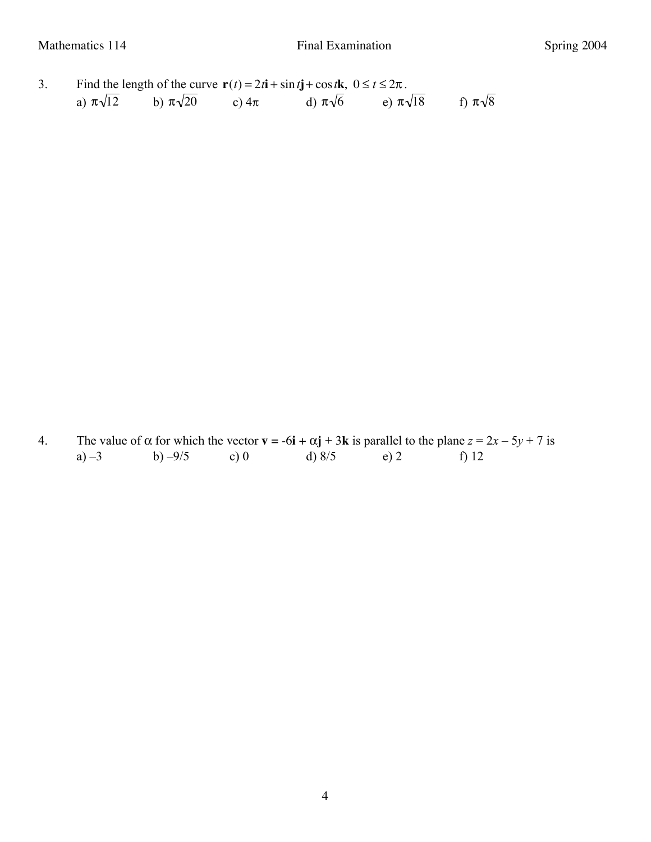3. Find the length of the curve  $\mathbf{r}(t) = 2t\mathbf{i} + \sin t\mathbf{j} + \cos t\mathbf{k}, 0 \le t \le 2\pi$ . a)  $\pi\sqrt{12}$  b) b)  $\pi\sqrt{20}$  c)  $4\pi$ d)  $\pi\sqrt{6}$ e)  $\pi\sqrt{18}$ f)  $\pi\sqrt{8}$ 

4. The value of  $\alpha$  for which the vector  $\mathbf{v} = -6\mathbf{i} + \alpha \mathbf{j} + 3\mathbf{k}$  is parallel to the plane  $z = 2x - 5y + 7$  is a) –3 b) –9/5 c) 0 d)  $8/5$  e) 2 f) 12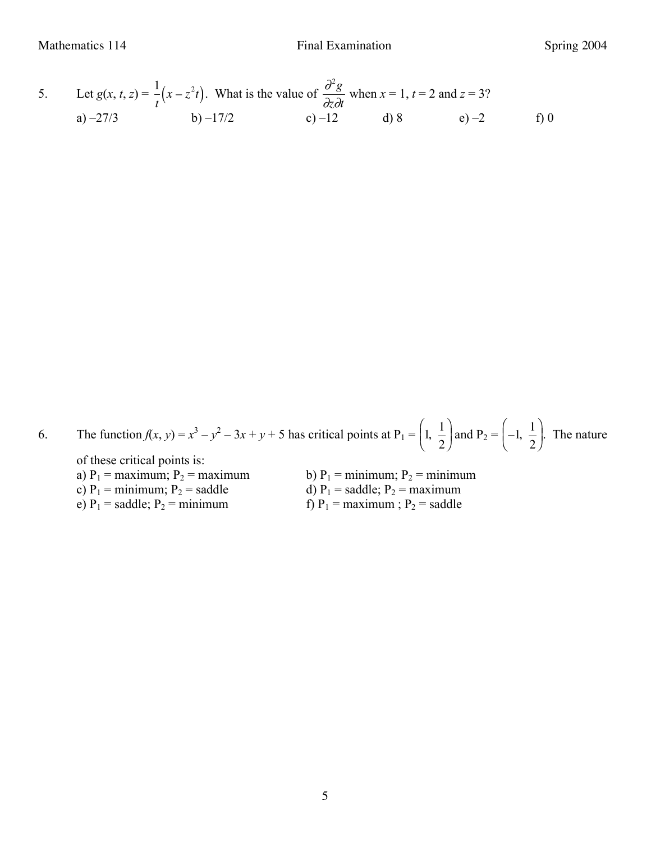Mathematics 114 **Final Examination** Final Examination Spring 2004

5. Let 
$$
g(x, t, z) = \frac{1}{t}(x - z^2t)
$$
. What is the value of  $\frac{\partial^2 g}{\partial z \partial t}$  when  $x = 1$ ,  $t = 2$  and  $z = 3$ ?  
\na) -27/3\nb) -17/2\nc) -12\nd) 8\ne) -2\nf) 0

6. The function  $f(x, y) = x^3 - y^2 - 3x + y + 5$  has critical points at P<sub>1</sub> =  $\begin{pmatrix} 1 & 1 \\ 1 & -1 \end{pmatrix}$ 2 !  $\left(1, \frac{1}{2}\right)$  and P<sub>2</sub> =  $\left(-1, \frac{1}{2}\right)$ 2 !  $\left(-1, \frac{1}{2}\right)$ . The nature

of these critical points is:

- c)  $P_1$  = minimum;  $P_2$  = saddle<br>e)  $P_1$  = saddle;  $P_2$  = minimum
- 1 ı a)  $P_1$  = maximum;  $P_2$  = maximum<br>c)  $P_1$  = minimum;  $P_2$  = saddle<br>d)  $P_1$  = saddle;  $P_2$  = maximum<br>d)  $P_1$  = saddle;  $P_2$  = maximum f)  $P_1$  = maximum ;  $P_2$  = saddle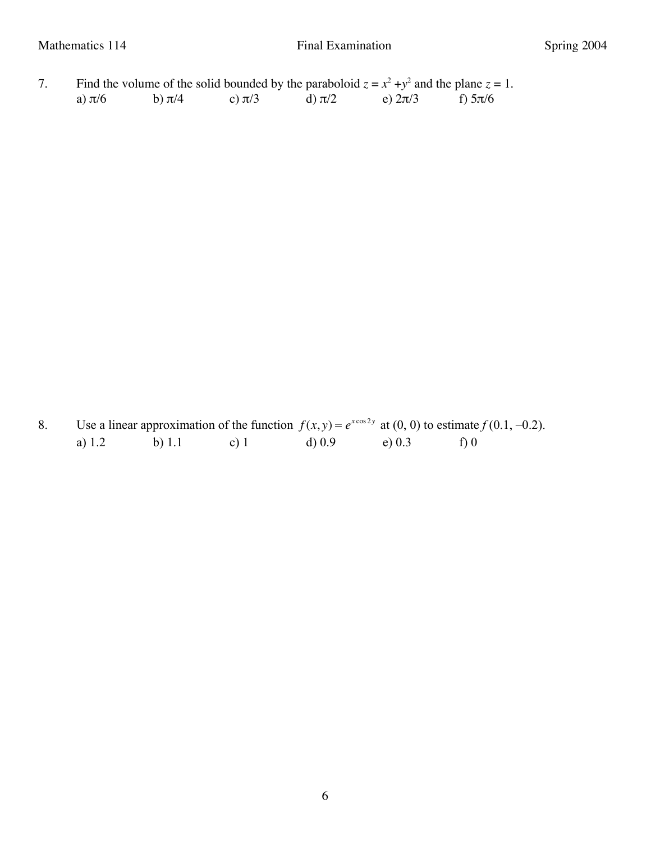7. Find the volume of the solid bounded by the paraboloid  $z = x^2 + y^2$  and the plane  $z = 1$ . a)  $\pi/6$  b)  $\pi/4$  c)  $\pi/3$  d)  $\pi/2$  e)  $2\pi/3$  f)  $5\pi/6$ 

8. Use a linear approximation of the function  $f(x, y) = e^{x \cos 2y}$  at (0, 0) to estimate  $f(0.1, -0.2)$ . a) 1.2 b) 1.1 c) 1 d) 0.9 e) 0.3 f) 0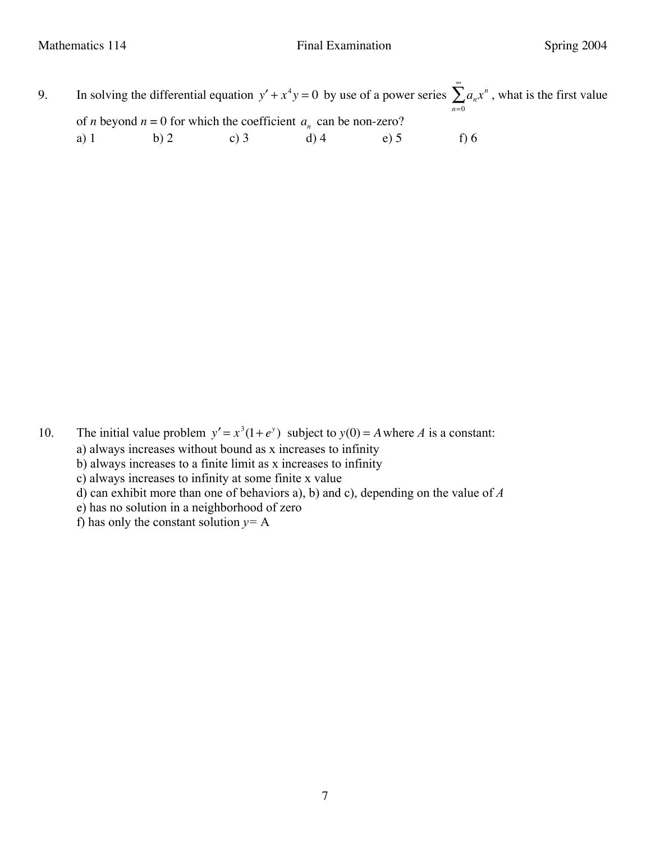9. In solving the differential equation  $y' + x^4y = 0$  by use of a power series  $\sum_{n}^{\infty} a_n x^n$ , what is the first value *n*=0 of *n* beyond  $n = 0$  for which the coefficient  $a_n$  can be non-zero? a) 1 b) 2 c) 3 d) 4 e) 5 f) 6

- 10. The initial value problem  $y' = x^3(1 + e^y)$  subject to  $y(0) = A$  where *A* is a constant: ֬֝֟֓֡֡ a) always increases without bound as x increases to infinity b) always increases to a finite limit as x increases to infinity c) always increases to infinity at some finite x value d) can exhibit more than one of behaviors a), b) and c), depending on the value of *A*
	-
	- e) has no solution in a neighborhood of zero
	- f) has only the constant solution  $y = A$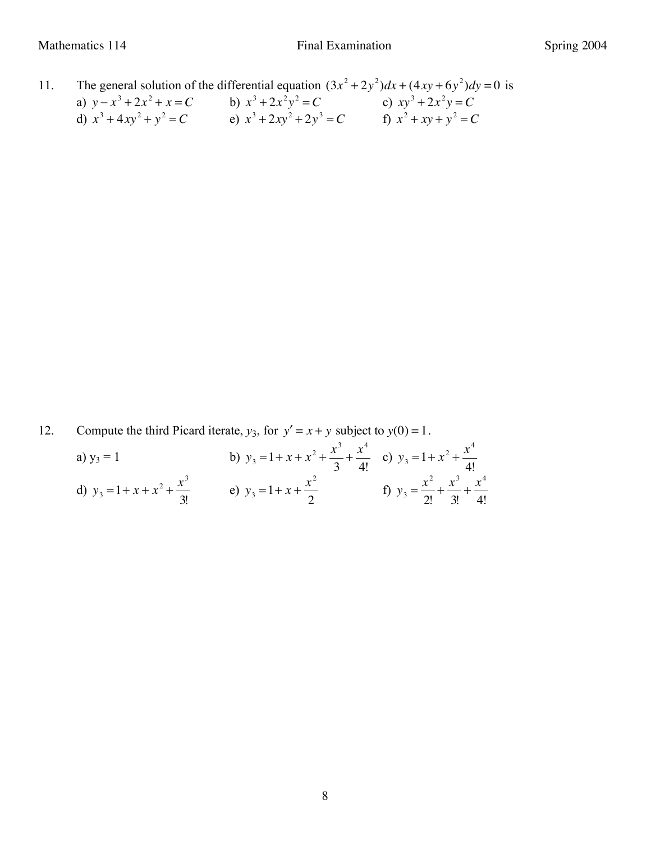11. The general solution of the differential equation  $(3x^2 + 2y^2)dx + (4xy + 6y^2)dy = 0$  is a)  $y - x^3 + 2x^2 + x = C$  b)  $x^3 + 2x^2y^2 = C$  c)  $xy^3 + 2x^2y = C$ d)  $x^3 + 4xy^2 + y^2 = C$  <br> e)  $x^3 + 2xy^2 + 2y^3 = C$  <br> f)  $x^2 + xy + y^2 = C$ 

12. Compute the third Picard iterate,  $y_3$ , for  $y' = x + y$  subject to  $y(0) = 1$ .

| a) $y_3 = 1$                            | b) $y_3 = 1 + x + x^2 + \frac{x^3}{3} + \frac{x^4}{4!}$ c) $y_3 = 1 + x^2 + \frac{x^4}{4!}$ |                                                             |
|-----------------------------------------|---------------------------------------------------------------------------------------------|-------------------------------------------------------------|
| d) $y_3 = 1 + x + x^2 + \frac{x^3}{3!}$ | e) $y_3 = 1 + x + \frac{x^2}{2}$                                                            | f) $y_3 = \frac{x^2}{2!} + \frac{x^3}{3!} + \frac{x^4}{4!}$ |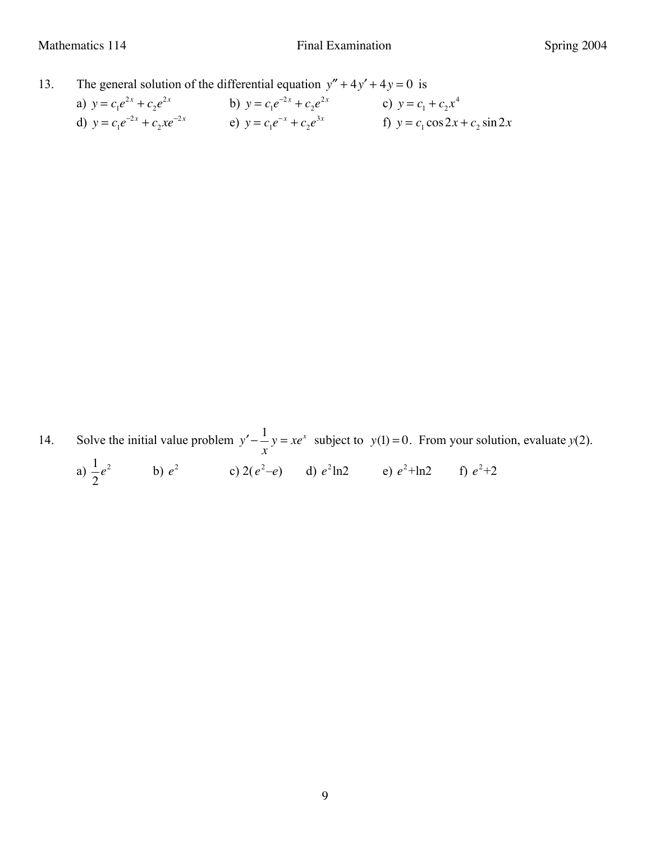13. The general solution of the differential equation  $y'' + 4y' + 4y = 0$  is

| a) $y = c_1 e^{2x} + c_2 e^{2x}$     | b) $y = c_1 e^{-2x} + c_2 e^{2x}$ | c) $y = c_1 + c_2 x^4$             |
|--------------------------------------|-----------------------------------|------------------------------------|
| d) $y = c_1 e^{-2x} + c_2 x e^{-2x}$ | e) $y = c_1 e^{-x} + c_2 e^{3x}$  | f) $y = c_1 \cos 2x + c_2 \sin 2x$ |

14. Solve the initial value problem  $y' -$ <sup>1</sup> *x*  $y = xe^x$  subject to  $y(1) = 0$ . From your solution, evaluate  $y(2)$ .

a)  $\frac{1}{2}$ 2 *e*<sup>2</sup> b)  $e^2$  c)  $2(e^2-e)$  d)  $e^2$ ln2 e)  $e^2$ +ln2 f)  $e^2+2$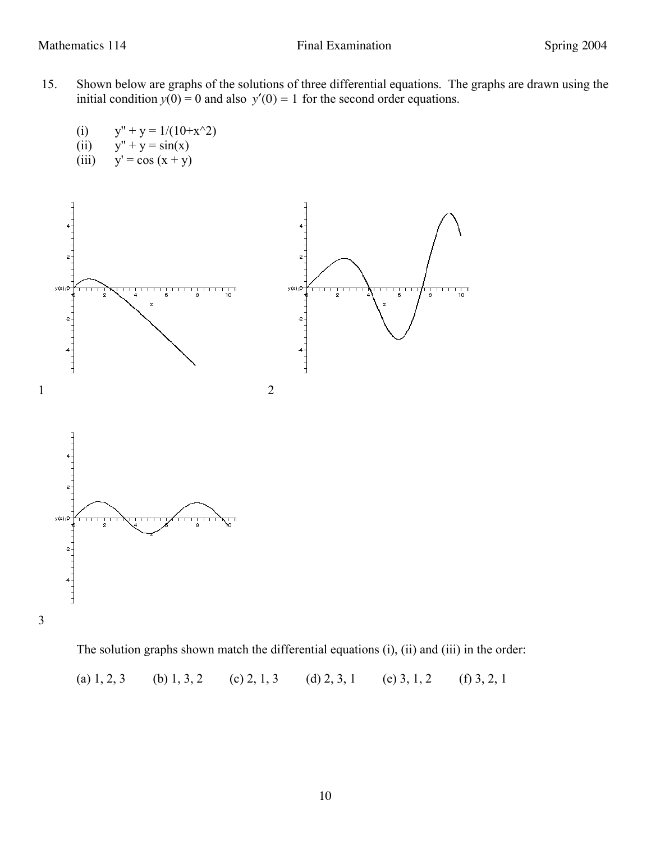- 15. Shown below are graphs of the solutions of three differential equations. The graphs are drawn using the initial condition  $y(0) = 0$  and also  $y'(0) = 1$  for the second order equations.
	- (i)  $y'' + y = 1/(10+x^2)$
	- (ii)  $y'' + y = sin(x)$
	- (iii)  $y' = cos(x + y)$



The solution graphs shown match the differential equations (i), (ii) and (iii) in the order:

(a) 1, 2, 3 (b) 1, 3, 2 (c) 2, 1, 3 (d) 2, 3, 1 (e) 3, 1, 2 (f) 3, 2, 1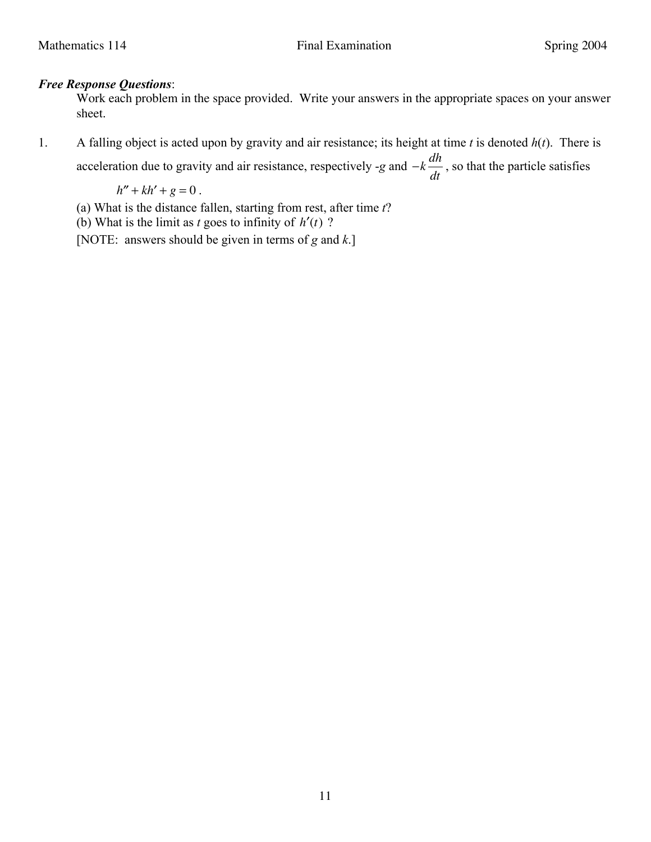## *Free Response Questions*:

Work each problem in the space provided. Write your answers in the appropriate spaces on your answer sheet.

1. A falling object is acted upon by gravity and air resistance; its height at time *t* is denoted *h*(*t*). There is

acceleration due to gravity and air resistance, respectively -g and 
$$
-k\frac{dh}{dt}
$$
, so that the particle satisfies

 $h'' + kh' + g = 0$ .

- (a) What is the distance fallen, starting from rest, after time *t*?
- (b) What is the limit as *t* goes to infinity of  $h'(t)$  ?

[NOTE: answers should be given in terms of *g* and *k*.]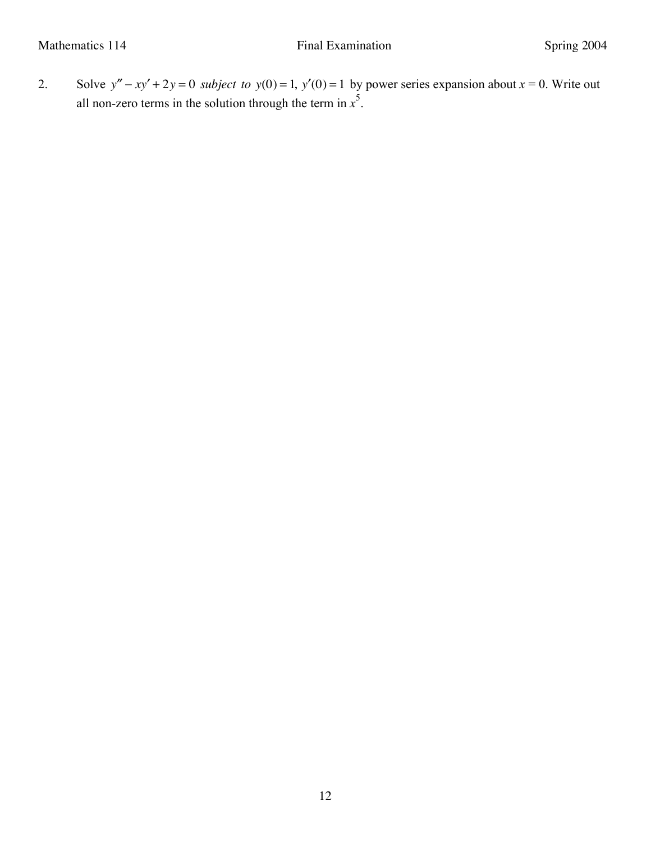2. Solve  $y'' - xy' + 2y = 0$  *subject* to  $y(0) = 1$ ,  $y'(0) = 1$  by power series expansion about  $x = 0$ . Write out all non-zero terms in the solution through the term in  $x^5$ .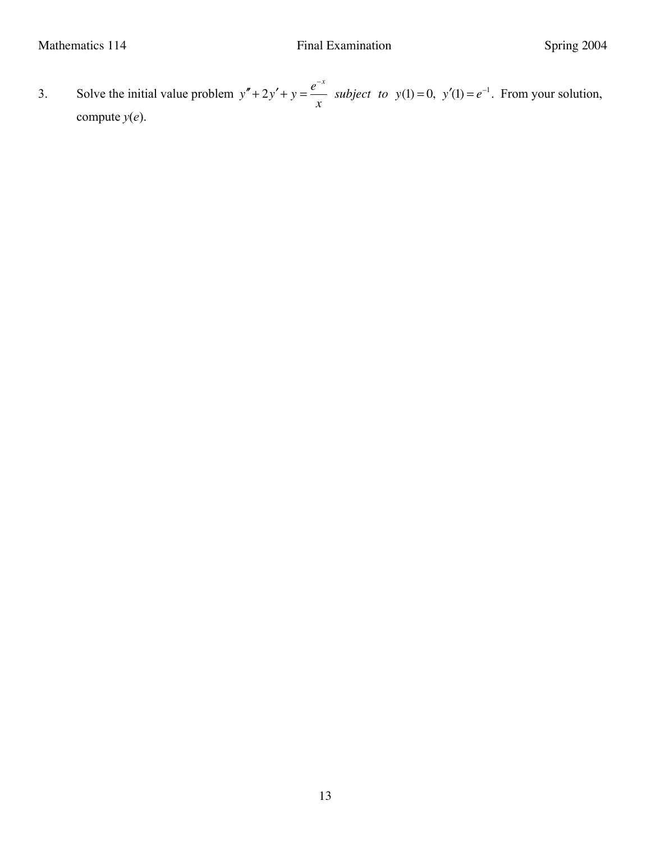3. Solve the initial value problem  $y'' + 2y' + y = e^{-x}$ *x subject to*  $y(1) = 0$ ,  $y'(1) = e^{-1}$ . From your solution, compute  $y(e)$ .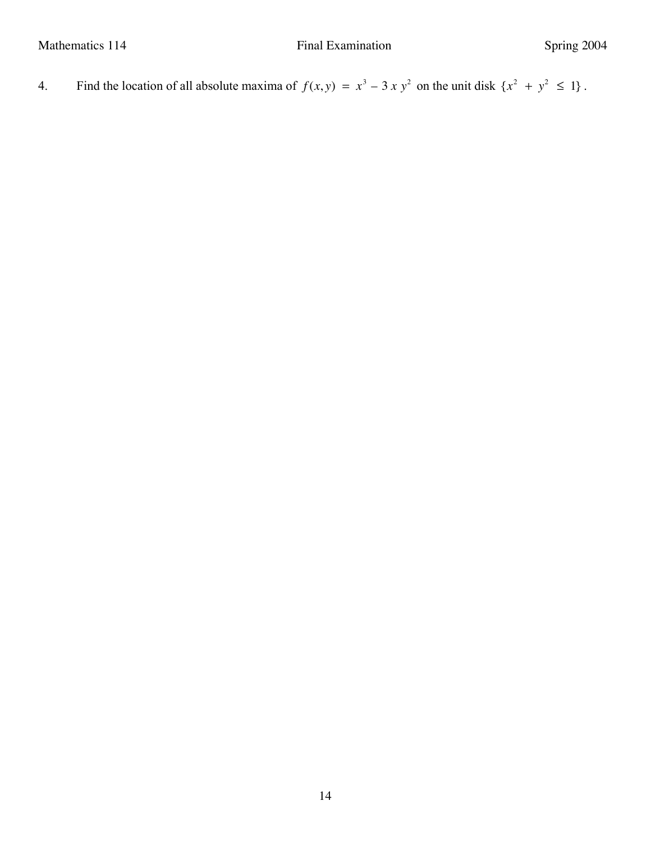4. Find the location of all absolute maxima of  $f(x, y) = x^3 - 3x y^2$  on the unit disk  $\{x^2 + y^2 \le 1\}$ .